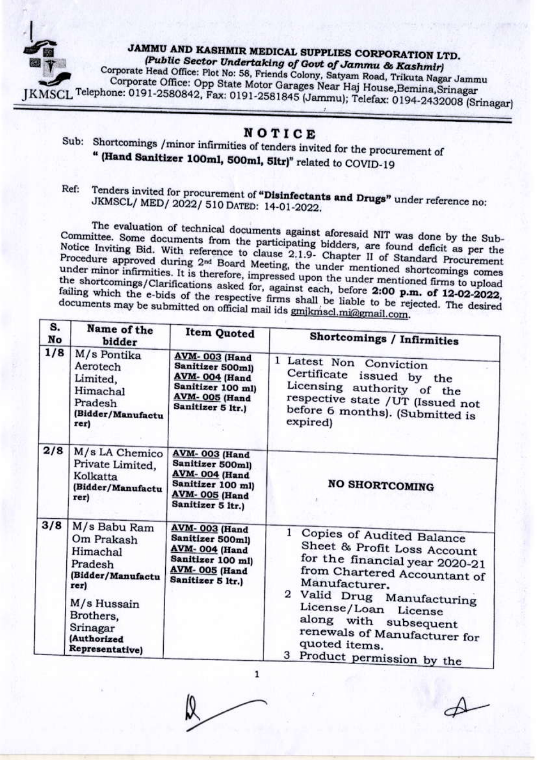

## JAMMU AND KASHMIR MEDICAL SUPPLIES CORPORATION LTD. (Public Sector Undertaking of Govt of Jammu & Kashmir)

Corporate Head Office: Plot No: 58, Friends Colony, Satyam Road, Trikuta Nagar Jammu Corporate Office: Opp State Motor Garages Near Haj House, Bemina, Srinagar KMSCL Telephone: 0191-2580842, Fax: 0191-2581845 (Jammu); Telefax: 0194-2432008 (Srinagar)

## NOTICE

- Sub: Shortcomings / minor infirmities of tenders invited for the procurement of " (Hand Sanitizer 100ml, 500ml, 5ltr)" related to COVID-19
- Tenders invited for procurement of "Disinfectants and Drugs" under reference no: Ref: JKMSCL/ MED/ 2022/ 510 DATED: 14-01-2022.

The evaluation of technical documents against aforesaid NIT was done by the Sub-Committee. Some documents from the participating bidders, are found deficit as per the Notice Inviting Bid. With reference to clause 2.1.9- Chapter II of Standard Procurement Procedure approved during 2<sup>nd</sup> Board Meeting, the under mentioned shortcomings comes under minor infirmities. It is therefore, impressed upon the under mentioned firms to upload the shortcomings/Clarifications asked for, against each, before 2:00 p.m. of 12-02-2022, failing which the e-bids of the respective firms shall be liable to be rejected. The desired documents may be submitted on official mail ids gmjkmscl.mi@gmail.com.

| S.<br>No | Name of the<br>bidder                                                                                                                                    | <b>Item Quoted</b>                                                                                                                 | <b>Shortcomings / Infirmities</b>                                                                                                                                                                                                                                                                          |
|----------|----------------------------------------------------------------------------------------------------------------------------------------------------------|------------------------------------------------------------------------------------------------------------------------------------|------------------------------------------------------------------------------------------------------------------------------------------------------------------------------------------------------------------------------------------------------------------------------------------------------------|
| 1/8      | M/s Pontika<br>Aerotech<br>Limited,<br>Himachal<br>Pradesh<br>(Bidder/Manufactu<br>rer)                                                                  | <b>AVM-003 (Hand</b><br>Sanitizer 500ml)<br>AVM-004 (Hand<br>Sanitizer 100 ml)<br><b>AVM-005 (Hand</b><br>Sanitizer 5 ltr.)        | 1.<br>Latest Non Conviction<br>Certificate<br>issued by the<br>Licensing authority of the<br>respective state /UT (Issued not<br>before 6 months). (Submitted is<br>expired)                                                                                                                               |
| 2/8      | M/s LA Chemico<br>Private Limited,<br>Kolkatta<br>(Bidder/Manufactu<br>rer)                                                                              | <b>AVM-003</b> (Hand<br>Sanitizer 500ml)<br>AVM-004 (Hand<br>Sanitizer 100 ml)<br><b>AVM-005 (Hand</b><br>Sanitizer 5 ltr.)        | <b>NO SHORTCOMING</b>                                                                                                                                                                                                                                                                                      |
| 3/8      | M/s Babu Ram<br>Om Prakash<br>Himachal<br>Pradesh<br>(Bidder/Manufactu<br>rer)<br>M/s Hussain<br>Brothers,<br>Srinagar<br>(Authorized<br>Representative) | <b>AVM-003 (Hand</b><br>Sanitizer 500ml)<br><b>AVM-004 (Hand</b><br>Sanitizer 100 ml)<br><b>AVM-005 (Hand</b><br>Sanitizer 5 ltr.) | Copies of Audited Balance<br>Sheet & Profit Loss Account<br>for the financial year 2020-21<br>from Chartered Accountant of<br>Manufacturer.<br>2 Valid Drug Manufacturing<br>License/Loan License<br>along with subsequent<br>renewals of Manufacturer for<br>quoted items.<br>3 Product permission by the |

 $\mathbf 1$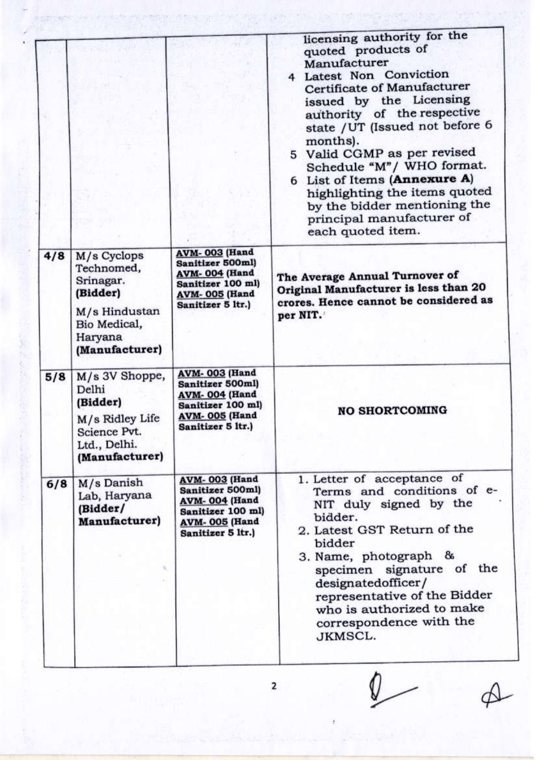|     |                                                                                                                  |                                                                                                                                    | licensing authority for the<br>quoted products of<br>Manufacturer<br>4 Latest Non Conviction<br>Certificate of Manufacturer<br>issued by the Licensing<br>authority of the respective<br>state / UT (Issued not before 6<br>months).<br>5 Valid CGMP as per revised<br>Schedule "M"/ WHO format.<br>6 List of Items (Annexure A)<br>highlighting the items quoted<br>by the bidder mentioning the<br>principal manufacturer of<br>each quoted item. |
|-----|------------------------------------------------------------------------------------------------------------------|------------------------------------------------------------------------------------------------------------------------------------|-----------------------------------------------------------------------------------------------------------------------------------------------------------------------------------------------------------------------------------------------------------------------------------------------------------------------------------------------------------------------------------------------------------------------------------------------------|
| 4/8 | M/s Cyclops<br>Technomed,<br>Srinagar.<br>(Bidder)<br>M/s Hindustan<br>Bio Medical,<br>Haryana<br>(Manufacturer) | <b>AVM-003</b> (Hand<br>Sanitizer 500ml)<br><b>AVM-004 (Hand</b><br>Sanitizer 100 ml)<br><b>AVM-005 (Hand</b><br>Sanitizer 5 ltr.) | The Average Annual Turnover of<br>Original Manufacturer is less than 20<br>crores. Hence cannot be considered as<br>per NIT.                                                                                                                                                                                                                                                                                                                        |
| 5/8 | M/s 3V Shoppe,<br>Delhi<br>(Bidder)<br>M/s Ridley Life<br>Science Pvt.<br>Ltd., Delhi.<br>(Manufacturer)         | <b>AVM-003 (Hand</b><br>Sanitizer 500ml)<br>AVM-004 (Hand<br>Sanitizer 100 ml)<br><b>AVM-005 (Hand</b><br>Sanitizer 5 ltr.)        | <b>NO SHORTCOMING</b>                                                                                                                                                                                                                                                                                                                                                                                                                               |
| 6/8 | M/s Danish<br>Lab, Haryana<br>(Bidder/<br><b>Manufacturer</b> )<br>s.                                            | <b>AVM-003 (Hand</b><br>Sanitizer 500ml)<br><b>AVM-004 (Hand</b><br>Sanitizer 100 ml)<br><b>AVM-005 (Hand</b><br>Sanitizer 5 ltr.) | 1. Letter of acceptance of<br>Terms and conditions of e-<br>NIT duly signed by the<br>bidder.<br>2. Latest GST Return of the<br>bidder<br>3. Name, photograph &<br>specimen signature of the<br>designatedofficer/<br>representative of the Bidder<br>who is authorized to make<br>correspondence with the<br>JKMSCL.                                                                                                                               |

**Contractor** 

×

 $\overline{\mathbf{c}}$ 

 $\sqrt{2}$ 

ł